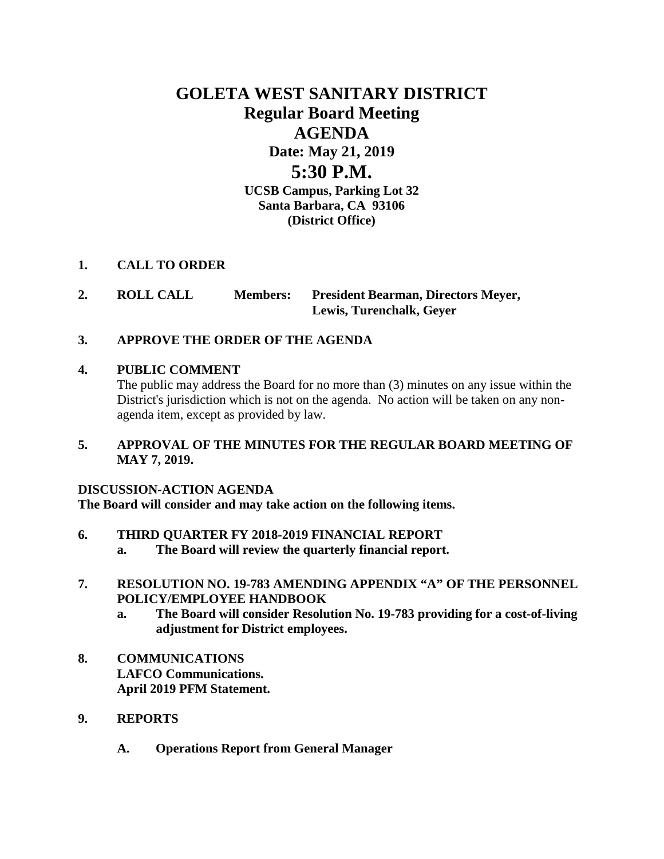# **GOLETA WEST SANITARY DISTRICT Regular Board Meeting AGENDA Date: May 21, 2019 5:30 P.M. UCSB Campus, Parking Lot 32 Santa Barbara, CA 93106 (District Office)**

# **1. CALL TO ORDER**

**2. ROLL CALL Members: President Bearman, Directors Meyer, Lewis, Turenchalk, Geyer**

# **3. APPROVE THE ORDER OF THE AGENDA**

# **4. PUBLIC COMMENT**

The public may address the Board for no more than (3) minutes on any issue within the District's jurisdiction which is not on the agenda. No action will be taken on any nonagenda item, except as provided by law.

# **5. APPROVAL OF THE MINUTES FOR THE REGULAR BOARD MEETING OF MAY 7, 2019.**

# **DISCUSSION-ACTION AGENDA**

**The Board will consider and may take action on the following items.**

# **6. THIRD QUARTER FY 2018-2019 FINANCIAL REPORT**

- **a. The Board will review the quarterly financial report.**
- **7. RESOLUTION NO. 19-783 AMENDING APPENDIX "A" OF THE PERSONNEL POLICY/EMPLOYEE HANDBOOK**
	- **a. The Board will consider Resolution No. 19-783 providing for a cost-of-living adjustment for District employees.**
- **8. COMMUNICATIONS LAFCO Communications. April 2019 PFM Statement.**
- **9. REPORTS**
	- **A. Operations Report from General Manager**